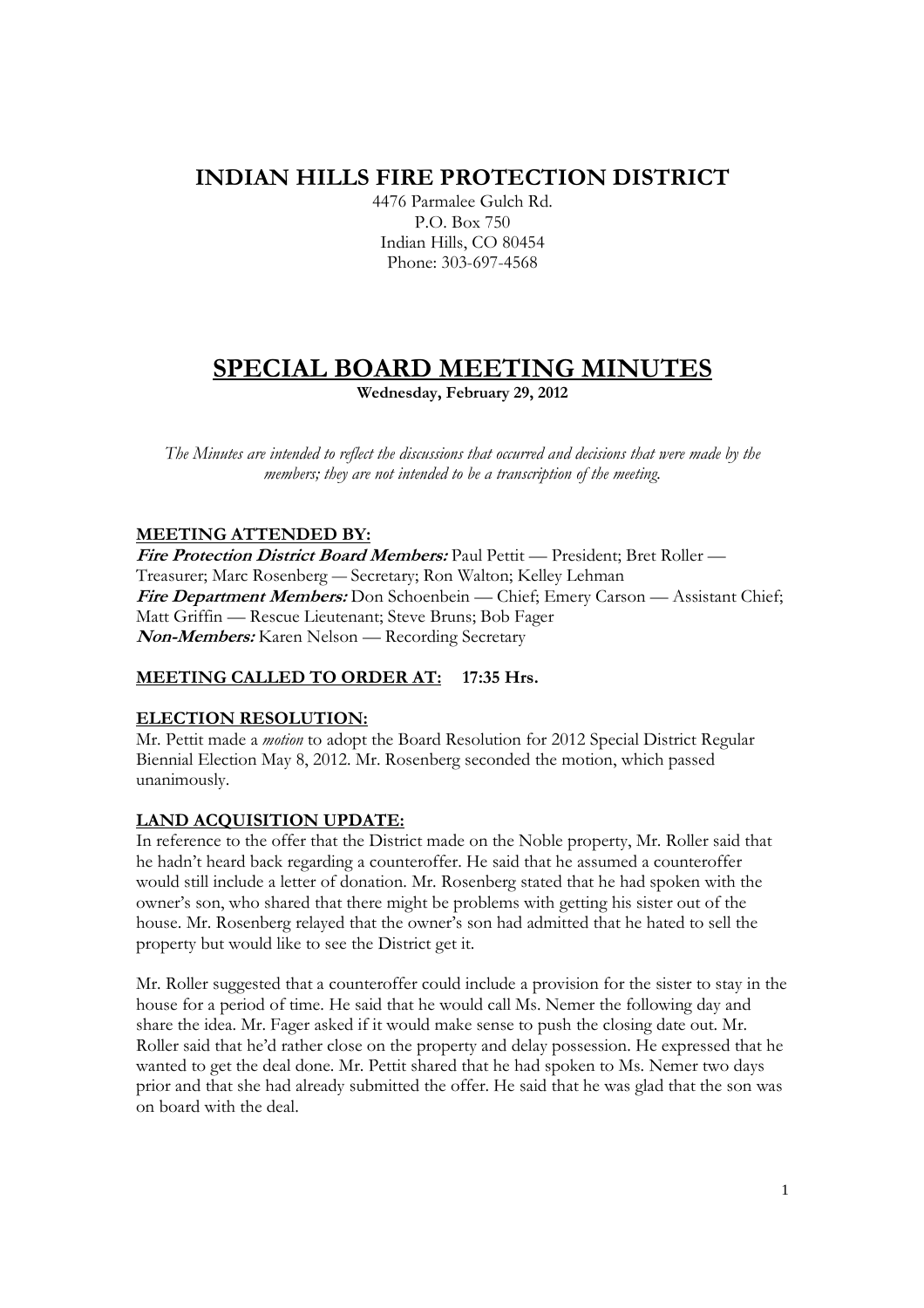## **INDIAN HILLS FIRE PROTECTION DISTRICT**

4476 Parmalee Gulch Rd. P.O. Box 750 Indian Hills, CO 80454 Phone: 303-697-4568

# **SPECIAL BOARD MEETING MINUTES**

**Wednesday, February 29, 2012** 

*The Minutes are intended to reflect the discussions that occurred and decisions that were made by the members; they are not intended to be a transcription of the meeting.* 

### **MEETING ATTENDED BY:**

**Fire Protection District Board Members:** Paul Pettit — President; Bret Roller — Treasurer; Marc Rosenberg — Secretary; Ron Walton; Kelley Lehman Fire Department Members: Don Schoenbein — Chief; Emery Carson — Assistant Chief; Matt Griffin — Rescue Lieutenant; Steve Bruns; Bob Fager **Non-Members:** Karen Nelson — Recording Secretary

## **MEETING CALLED TO ORDER AT: 17:35 Hrs.**

#### **ELECTION RESOLUTION:**

Mr. Pettit made a *motion* to adopt the Board Resolution for 2012 Special District Regular Biennial Election May 8, 2012. Mr. Rosenberg seconded the motion, which passed unanimously.

## **LAND ACQUISITION UPDATE:**

In reference to the offer that the District made on the Noble property, Mr. Roller said that he hadn't heard back regarding a counteroffer. He said that he assumed a counteroffer would still include a letter of donation. Mr. Rosenberg stated that he had spoken with the owner's son, who shared that there might be problems with getting his sister out of the house. Mr. Rosenberg relayed that the owner's son had admitted that he hated to sell the property but would like to see the District get it.

Mr. Roller suggested that a counteroffer could include a provision for the sister to stay in the house for a period of time. He said that he would call Ms. Nemer the following day and share the idea. Mr. Fager asked if it would make sense to push the closing date out. Mr. Roller said that he'd rather close on the property and delay possession. He expressed that he wanted to get the deal done. Mr. Pettit shared that he had spoken to Ms. Nemer two days prior and that she had already submitted the offer. He said that he was glad that the son was on board with the deal.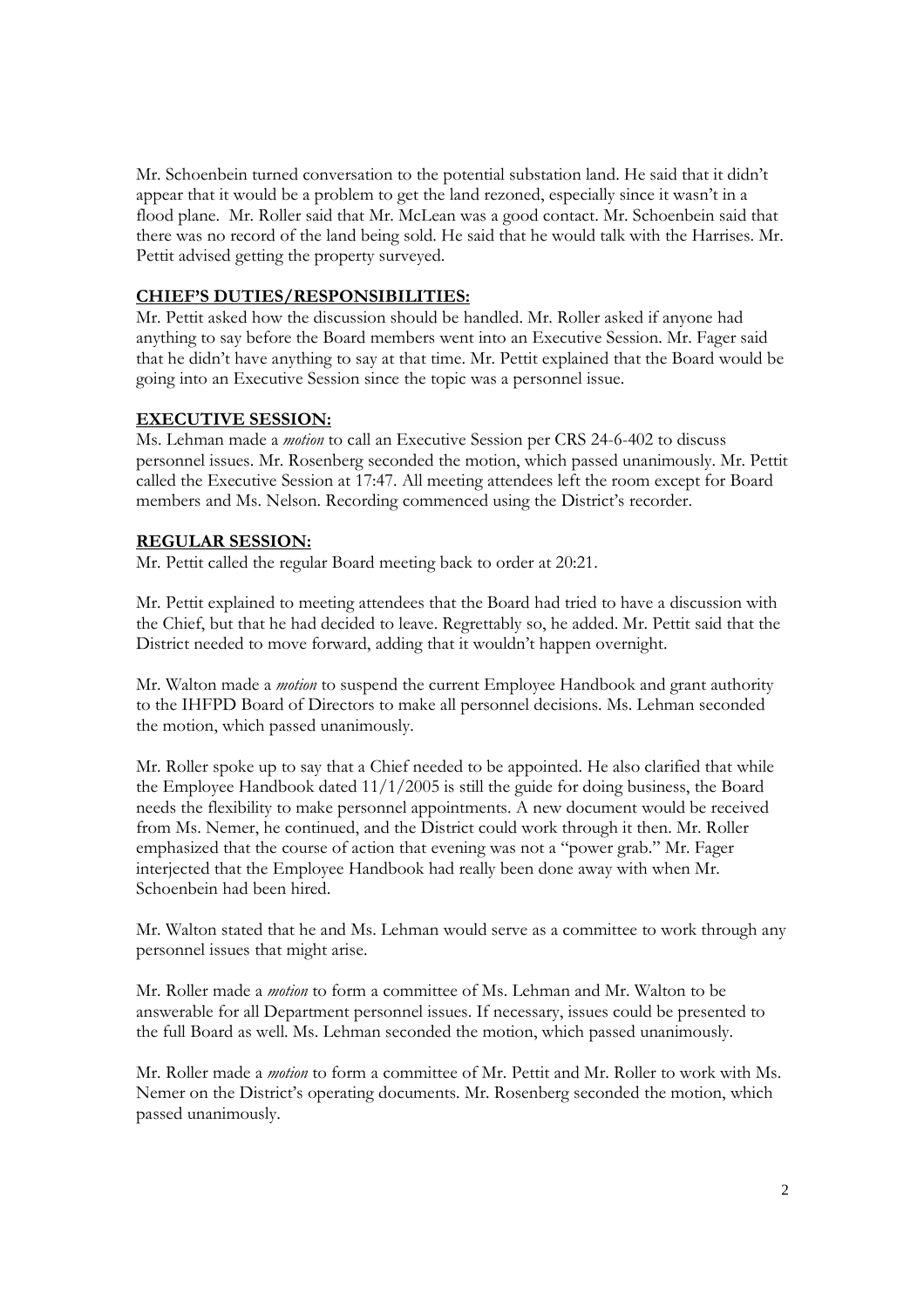Mr. Schoenbein turned conversation to the potential substation land. He said that it didn't appear that it would be a problem to get the land rezoned, especially since it wasn't in a flood plane. Mr. Roller said that Mr. McLean was a good contact. Mr. Schoenbein said that there was no record of the land being sold. He said that he would talk with the Harrises. Mr. Pettit advised getting the property surveyed.

#### **CHIEF'S DUTIES/RESPONSIBILITIES:**

Mr. Pettit asked how the discussion should be handled. Mr. Roller asked if anyone had anything to say before the Board members went into an Executive Session. Mr. Fager said that he didn't have anything to say at that time. Mr. Pettit explained that the Board would be going into an Executive Session since the topic was a personnel issue.

#### **EXECUTIVE SESSION:**

Ms. Lehman made a *motion* to call an Executive Session per CRS 24-6-402 to discuss personnel issues. Mr. Rosenberg seconded the motion, which passed unanimously. Mr. Pettit called the Executive Session at 17:47. All meeting attendees left the room except for Board members and Ms. Nelson. Recording commenced using the District's recorder.

#### **REGULAR SESSION:**

Mr. Pettit called the regular Board meeting back to order at 20:21.

Mr. Pettit explained to meeting attendees that the Board had tried to have a discussion with the Chief, but that he had decided to leave. Regrettably so, he added. Mr. Pettit said that the District needed to move forward, adding that it wouldn't happen overnight.

Mr. Walton made a *motion* to suspend the current Employee Handbook and grant authority to the IHFPD Board of Directors to make all personnel decisions. Ms. Lehman seconded the motion, which passed unanimously.

Mr. Roller spoke up to say that a Chief needed to be appointed. He also clarified that while the Employee Handbook dated 11/1/2005 is still the guide for doing business, the Board needs the flexibility to make personnel appointments. A new document would be received from Ms. Nemer, he continued, and the District could work through it then. Mr. Roller emphasized that the course of action that evening was not a "power grab." Mr. Fager interjected that the Employee Handbook had really been done away with when Mr. Schoenbein had been hired.

Mr. Walton stated that he and Ms. Lehman would serve as a committee to work through any personnel issues that might arise.

Mr. Roller made a *motion* to form a committee of Ms. Lehman and Mr. Walton to be answerable for all Department personnel issues. If necessary, issues could be presented to the full Board as well. Ms. Lehman seconded the motion, which passed unanimously.

Mr. Roller made a *motion* to form a committee of Mr. Pettit and Mr. Roller to work with Ms. Nemer on the District's operating documents. Mr. Rosenberg seconded the motion, which passed unanimously.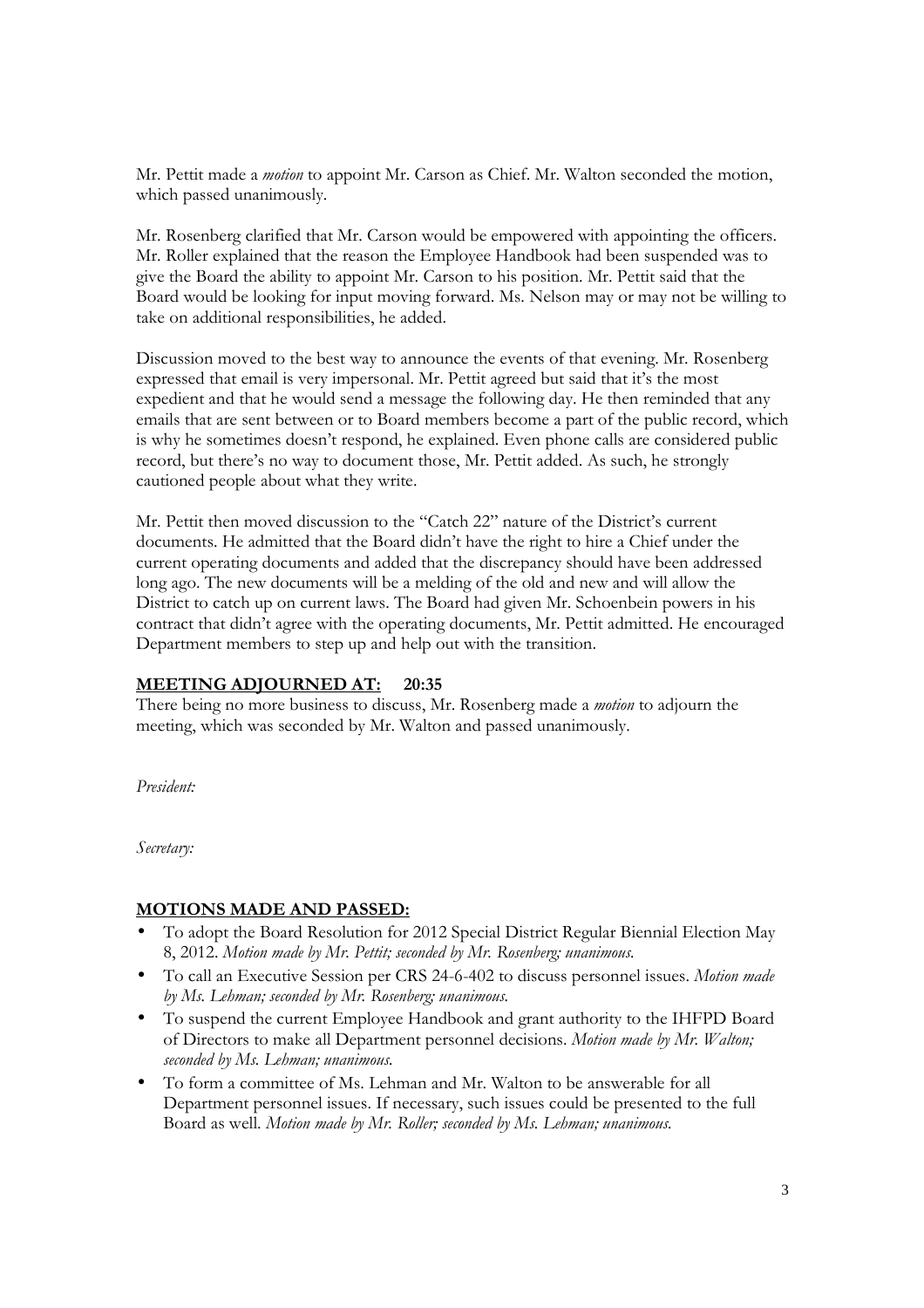Mr. Pettit made a *motion* to appoint Mr. Carson as Chief. Mr. Walton seconded the motion, which passed unanimously.

Mr. Rosenberg clarified that Mr. Carson would be empowered with appointing the officers. Mr. Roller explained that the reason the Employee Handbook had been suspended was to give the Board the ability to appoint Mr. Carson to his position. Mr. Pettit said that the Board would be looking for input moving forward. Ms. Nelson may or may not be willing to take on additional responsibilities, he added.

Discussion moved to the best way to announce the events of that evening. Mr. Rosenberg expressed that email is very impersonal. Mr. Pettit agreed but said that it's the most expedient and that he would send a message the following day. He then reminded that any emails that are sent between or to Board members become a part of the public record, which is why he sometimes doesn't respond, he explained. Even phone calls are considered public record, but there's no way to document those, Mr. Pettit added. As such, he strongly cautioned people about what they write.

Mr. Pettit then moved discussion to the "Catch 22" nature of the District's current documents. He admitted that the Board didn't have the right to hire a Chief under the current operating documents and added that the discrepancy should have been addressed long ago. The new documents will be a melding of the old and new and will allow the District to catch up on current laws. The Board had given Mr. Schoenbein powers in his contract that didn't agree with the operating documents, Mr. Pettit admitted. He encouraged Department members to step up and help out with the transition.

#### **MEETING ADJOURNED AT: 20:35**

There being no more business to discuss, Mr. Rosenberg made a *motion* to adjourn the meeting, which was seconded by Mr. Walton and passed unanimously.

*President:* 

*Secretary:* 

#### **MOTIONS MADE AND PASSED:**

- To adopt the Board Resolution for 2012 Special District Regular Biennial Election May 8, 2012. *Motion made by Mr. Pettit; seconded by Mr. Rosenberg; unanimous.*
- To call an Executive Session per CRS 24-6-402 to discuss personnel issues. *Motion made by Ms. Lehman; seconded by Mr. Rosenberg; unanimous.*
- To suspend the current Employee Handbook and grant authority to the IHFPD Board of Directors to make all Department personnel decisions. *Motion made by Mr. Walton; seconded by Ms. Lehman; unanimous.*
- To form a committee of Ms. Lehman and Mr. Walton to be answerable for all Department personnel issues. If necessary, such issues could be presented to the full Board as well. *Motion made by Mr. Roller; seconded by Ms. Lehman; unanimous.*